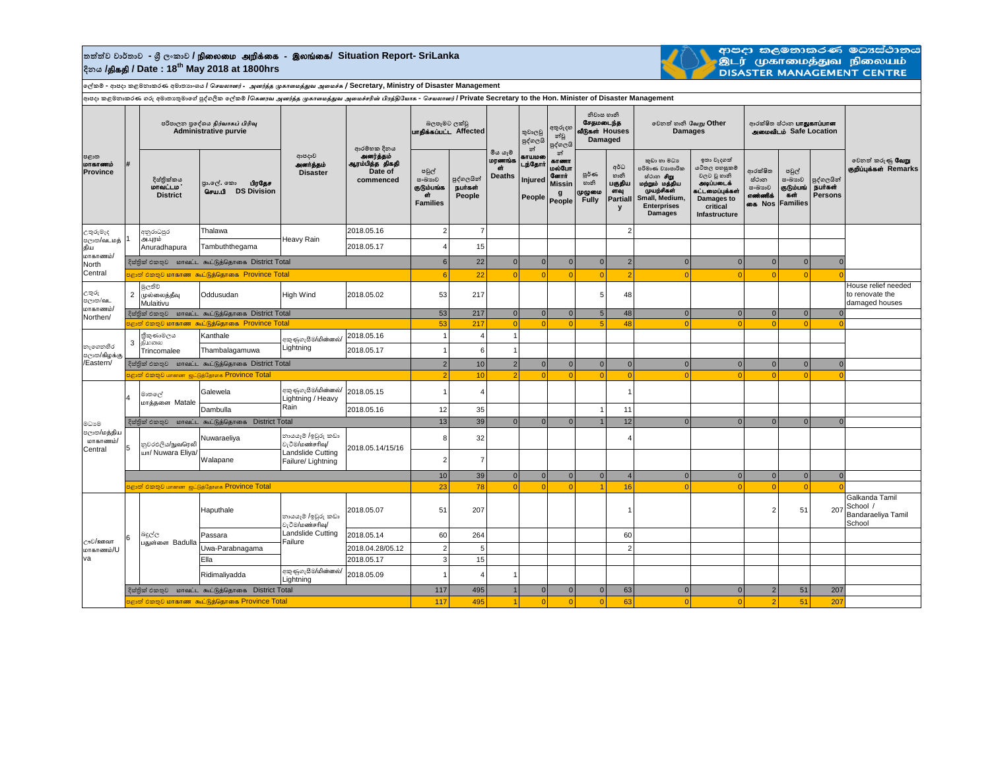## **තත්ත්ව වාර්තාව - ශ්රී ලංකාව /** epiyik mwpf;if - ,yq;if**/ Situation Report- SriLanka දිනය /**jpfjp **/ Date : 18th May 2018 at 1800hrs**



ආපදා කලමනාකරණ මධාස්ථානය<br>.இடர் முகாமைத்துவ நிலையம்<br>DISASTER MANAGEMENT CENTRE

**ලේකම් - ආපදා කළමනාකරණ අමාතයාංශය /** *செயலாளர்* - *அனர்த்த முகாமைத்துே அமைச்சு* **/ Secretary, Ministry of Disaster Management**

**ආපදා කළමනාකරණ ගරු අමාතයතුමාලේ පුද්ගලික ලේකම් /***சகௌரே அனர்த்த முகாமைத்துே அமைச்ெரின் பிரத்திவயாக* **-** *செயலாளர்* **/ Private Secretary to the Hon. Minister of Disaster Management**

|                                                               |                                                           |                                                                 | <sub>ਸ਼ਮ</sub> ∞⊙‴                                        |                                                                                  |                                              |                                                        |                                 |                                           |                                        |                                                                      |                                                      |                                                       |                                                                                                                                               |                                                                                                                        |                                                            |                                                        |                                         |                                                            |
|---------------------------------------------------------------|-----------------------------------------------------------|-----------------------------------------------------------------|-----------------------------------------------------------|----------------------------------------------------------------------------------|----------------------------------------------|--------------------------------------------------------|---------------------------------|-------------------------------------------|----------------------------------------|----------------------------------------------------------------------|------------------------------------------------------|-------------------------------------------------------|-----------------------------------------------------------------------------------------------------------------------------------------------|------------------------------------------------------------------------------------------------------------------------|------------------------------------------------------------|--------------------------------------------------------|-----------------------------------------|------------------------------------------------------------|
| පළාත<br>மாகாணம்<br><b>Province</b>                            |                                                           | පරිපාලන පුදේශය நிர்வாகப் பிரிவு<br><b>Administrative purvie</b> |                                                           |                                                                                  | ආරම්භක දිනය                                  | බලපෑමට ලක්වු<br>uralasuuLL Affected                    |                                 |                                           | තුවාලවු<br>පුද්ගලයි<br>න්              | අතුරුදහ<br>න්වූ<br>පුද්ගලයි                                          | නිවාස හානි<br>சேகமடைந்க<br>வீடுகள் Houses<br>Damaged |                                                       | වෙනත් හානි வேறு Other<br><b>Damages</b>                                                                                                       |                                                                                                                        | ආරක්ෂිත ස්ථාන <b>பாதுகாப்பான</b><br>அமைவிடம் Safe Location |                                                        |                                         |                                                            |
|                                                               |                                                           | දිස්තික්කය<br>மாவட்டம<br><b>District</b>                        | பிரகேச<br>පුා.ලල්. කො<br>செய.பி DS Division               | ආපදාව<br>அனர்த்தம்<br><b>Disaster</b>                                            | .<br>ஆரம்பித்த திகதி<br>Date of<br>commenced | පවුල්<br>සංඛාගව<br>குடும்பங்க<br>бŤ<br><b>Families</b> | පුද්ගලයින්<br>நபர்கள்<br>People | මිය යෑම<br>மரணங்க<br>ch.<br><b>Deaths</b> | காயமலை<br>டந்தோர்<br>Injured<br>People | න්<br>காணா<br>மல்போ<br><b>Germit</b><br><b>Missin</b><br>g<br>People | ల్లరి లా<br>හානි<br>முழுமை<br><b>Fully</b>           | අර්ධ<br>හානි<br>பகுதிய<br>ளவு<br><b>Partiall</b><br>y | කුඩා හා මධා<br>පරිමාණ වාාපාරික<br>ස්ථාන <b>சிறு</b><br>மற்றும் மத்திய<br>முயற்சிகள்<br>Small, Medium,<br><b>Enterprises</b><br><b>Damages</b> | ඉතා වැදගත්<br>යටිතල පහසුකම්<br>වලට වූ හානි<br>அடிப்படைக்<br>கட்டமைப்புக்கள்<br>Damages to<br>critical<br>Infastructure | ආරක්ෂිත<br>ස්ථාන<br>සංඛාහව<br>எண்ணிக்<br>கை Nos            | පවුල්<br>සංඛාගව<br>குடும்பங்<br>கள்<br><b>Families</b> | පුද්ගලයින්<br>நபர்கள்<br><b>Persons</b> | වෙනත් කරුණු <b>வேறு</b><br>குறிப்புக்கள் Remarks           |
| උතුරුමැද<br>පලාක/வ∟மத்<br>கிய<br>மாகாணம்/<br>North<br>Central |                                                           | අනුරාධපුර<br>அ.புரம்<br>Anuradhapura                            | Thalawa                                                   | Heavy Rain                                                                       | 2018.05.16                                   | $\overline{c}$                                         | 7                               |                                           |                                        |                                                                      |                                                      | 2                                                     |                                                                                                                                               |                                                                                                                        |                                                            |                                                        |                                         |                                                            |
|                                                               |                                                           |                                                                 | Tambuththegama                                            |                                                                                  | 2018.05.17                                   | 4                                                      | 15                              |                                           |                                        |                                                                      |                                                      |                                                       |                                                                                                                                               |                                                                                                                        |                                                            |                                                        |                                         |                                                            |
|                                                               |                                                           | දිස්තික් එකතුව மாவட்ட கூட்டுத்தொகை District Total               |                                                           |                                                                                  | $6 \overline{6}$                             | 22                                                     | $\mathbf{0}$                    | $\overline{0}$                            | $\overline{0}$                         | 0                                                                    | $\overline{2}$                                       | $\overline{0}$                                        | $\overline{0}$                                                                                                                                | $\Omega$                                                                                                               | $\overline{0}$                                             | $\Omega$                                               |                                         |                                                            |
|                                                               | ் அதில் அத்தி மாகாண கூட்டுத்தொகை Province Total           |                                                                 |                                                           |                                                                                  |                                              | 6                                                      | 22                              | $\Omega$                                  | $\Omega$                               | $\Omega$                                                             | $\Omega$                                             |                                                       | $\Omega$                                                                                                                                      | $\Omega$                                                                                                               |                                                            | $\overline{0}$                                         |                                         |                                                            |
| උතුරු<br>පලාක/வட<br>மாகாணம்/<br>Northen/                      |                                                           | මූලතිව<br>2 முல்லைத்தீவு<br>Mulaitivu                           | Oddusudan                                                 | High Wind                                                                        | 2018.05.02                                   | 53                                                     | 217                             |                                           |                                        |                                                                      | 5                                                    | 48                                                    |                                                                                                                                               |                                                                                                                        |                                                            |                                                        |                                         | House relief needed<br>to renovate the<br>damaged houses   |
|                                                               |                                                           | දිස්තික් එකතුව மாவட்ட கூட்டுத்தொகை District Total               |                                                           |                                                                                  |                                              | 53                                                     | 217                             | $\overline{0}$                            | 0                                      | $\mathbf{0}$                                                         | $5\overline{5}$                                      | 48                                                    | $\overline{0}$                                                                                                                                | $\overline{0}$                                                                                                         | $\overline{0}$                                             | 0                                                      | $\overline{0}$                          |                                                            |
|                                                               |                                                           |                                                                 | පළාත් එකතුව மாகாண கூட்டுத்தொகை Province Total             |                                                                                  |                                              | 53                                                     | 217                             | $\overline{0}$                            | $\Omega$                               | $\Omega$                                                             | 5 <sup>1</sup>                                       | 48                                                    | $\Omega$                                                                                                                                      | $\Omega$                                                                                                               | $\Omega$                                                   | $\Omega$                                               |                                         |                                                            |
| නැගෙනහිර<br>පලාත/கிழக்கு<br>/Eastern/                         |                                                           | තීකුණාමලය<br>3 கிமலை                                            | Kanthale                                                  | අකුණුගැසීම/மின்னல்/                                                              | 2018.05.16                                   | $\mathbf{1}$                                           |                                 |                                           |                                        |                                                                      |                                                      |                                                       |                                                                                                                                               |                                                                                                                        |                                                            |                                                        |                                         |                                                            |
|                                                               |                                                           | Trincomalee                                                     | Thambalagamuwa                                            | Lightning                                                                        | 2018.05.17                                   | $\mathbf{1}$                                           | 6                               |                                           |                                        |                                                                      |                                                      |                                                       |                                                                                                                                               |                                                                                                                        |                                                            |                                                        |                                         |                                                            |
|                                                               | දිස්තික් එකතුව மாவட்ட கூட்டுத்தொகை District Total         |                                                                 |                                                           |                                                                                  | $\overline{2}$                               | 10                                                     | 2 <sup>1</sup>                  | $\overline{0}$                            | $\mathbf{0}$                           | $\overline{0}$                                                       | $\overline{0}$                                       | $\overline{0}$                                        | $\overline{0}$                                                                                                                                | $\overline{0}$                                                                                                         | $\overline{0}$                                             | $\overline{0}$                                         |                                         |                                                            |
|                                                               |                                                           |                                                                 | <mark>පළාත් එකතුව மாகாண ஜட்டுத்தோகை Province Total</mark> |                                                                                  |                                              | $\overline{2}$                                         | 10                              | $\mathcal{D}$                             | $\Omega$                               | $\Omega$                                                             | $\Omega$                                             | $\Omega$                                              | $\Omega$                                                                                                                                      | $\Omega$                                                                                                               | -C                                                         | $\Omega$                                               |                                         |                                                            |
|                                                               | $\overline{4}$                                            | මාතලේ<br>மாத்தளை Matale                                         | Galewela                                                  | අකුණුගැසීම/மின்னல்/<br>Lightning / Heavy<br>Rain                                 | 2018.05.15                                   | $\mathbf{1}$                                           |                                 |                                           |                                        |                                                                      |                                                      |                                                       |                                                                                                                                               |                                                                                                                        |                                                            |                                                        |                                         |                                                            |
|                                                               |                                                           |                                                                 | Dambulla                                                  |                                                                                  | 2018.05.16                                   | 12                                                     | 35                              |                                           |                                        |                                                                      |                                                      | 11                                                    |                                                                                                                                               |                                                                                                                        |                                                            |                                                        |                                         |                                                            |
| මධාවෙ                                                         |                                                           |                                                                 | ஜேதினி சிறை மாவட்ட கூட்டுத்தொகை District Total            |                                                                                  |                                              | 13                                                     | 39                              | 0                                         | $\overline{0}$                         | $\Omega$                                                             | $\overline{1}$                                       | 12                                                    | $\overline{0}$                                                                                                                                | $\Omega$                                                                                                               | $\overline{0}$                                             | $\overline{0}$                                         | $\overline{0}$                          |                                                            |
| පලාක/மத்திய<br>மாகாணம்/<br>Central                            | 5                                                         | නුවරඑලිය/நுவரெலி<br>шп/ Nuwara Eliya/                           | Nuwaraeliya                                               | නායයැම් /ඉවුරු කඩා<br>වැටීම/மண்சரிவு/<br>Landslide Cutting<br>Failure/ Lightning | 2018.05.14/15/16                             | 8                                                      | 32                              |                                           |                                        |                                                                      |                                                      |                                                       |                                                                                                                                               |                                                                                                                        |                                                            |                                                        |                                         |                                                            |
|                                                               |                                                           |                                                                 | Walapane                                                  |                                                                                  |                                              | $\overline{2}$                                         |                                 |                                           |                                        |                                                                      |                                                      |                                                       |                                                                                                                                               |                                                                                                                        |                                                            |                                                        |                                         |                                                            |
|                                                               |                                                           |                                                                 |                                                           |                                                                                  |                                              |                                                        | 10<br>39                        | $\overline{0}$                            | $\overline{0}$                         | $\overline{0}$                                                       | 0                                                    | $\overline{\mathbf{A}}$                               | $\overline{0}$                                                                                                                                | $\overline{0}$                                                                                                         | $\overline{0}$                                             | 0                                                      | $\overline{0}$                          |                                                            |
|                                                               | <mark>පළාත් එකතුව மாகாண ஐட்டுத்தோகை Province Total</mark> |                                                                 |                                                           |                                                                                  |                                              | 23                                                     | 78                              | $\Omega$                                  | $\Omega$                               | $\Omega$                                                             |                                                      | 16                                                    |                                                                                                                                               |                                                                                                                        |                                                            | $\Omega$                                               |                                         |                                                            |
| ூಲ/ஊவா<br><b>U</b> \வ்ாகை ம<br>va                             | 6                                                         | බදුල්ල<br>பதுள்ளை Badulla                                       | Haputhale                                                 | නායයැම් /ඉවුරු කඩා<br>වැටීම/மண்சரிவு/<br>Landslide Cutting<br>Failure            | 2018.05.07                                   | 51                                                     | 207                             |                                           |                                        |                                                                      |                                                      |                                                       |                                                                                                                                               |                                                                                                                        | $\mathcal{P}$                                              | 51                                                     | 207                                     | Galkanda Tamil<br>School /<br>Bandaraeliya Tamil<br>School |
|                                                               |                                                           |                                                                 | Passara                                                   |                                                                                  | 2018.05.14                                   | 60                                                     | 264                             |                                           |                                        |                                                                      |                                                      | 60                                                    |                                                                                                                                               |                                                                                                                        |                                                            |                                                        |                                         |                                                            |
|                                                               |                                                           |                                                                 | Uwa-Parabnagama                                           |                                                                                  | 2018.04.28/05.12                             | $\overline{2}$                                         | 5                               |                                           |                                        |                                                                      |                                                      | $\overline{2}$                                        |                                                                                                                                               |                                                                                                                        |                                                            |                                                        |                                         |                                                            |
|                                                               |                                                           |                                                                 | Ella                                                      |                                                                                  | 2018.05.17                                   | $\overline{3}$                                         | 15                              |                                           |                                        |                                                                      |                                                      |                                                       |                                                                                                                                               |                                                                                                                        |                                                            |                                                        |                                         |                                                            |
|                                                               |                                                           |                                                                 | Ridimaliyadda                                             | අකුණුගැසීම/மின்னல்/<br>Lightning                                                 | 2018.05.09                                   | $\mathbf{1}$                                           |                                 |                                           |                                        |                                                                      |                                                      |                                                       |                                                                                                                                               |                                                                                                                        |                                                            |                                                        |                                         |                                                            |
|                                                               |                                                           |                                                                 | දිස්තුික් එකතුව மாவட்ட கூட்டுத்தொகை District Total        |                                                                                  |                                              | 117                                                    | 495                             |                                           | $\overline{0}$                         | $\mathbf 0$                                                          | $\mathbf{0}$                                         | 63                                                    | $\overline{0}$                                                                                                                                | $\overline{0}$                                                                                                         | $\overline{2}$                                             | 51                                                     | 207                                     |                                                            |
|                                                               | පළාත් එකතුව மாகாண கூட்டுத்தொகை Province Total             |                                                                 |                                                           |                                                                                  |                                              |                                                        | 495<br>117                      |                                           | $\Omega$                               | $\Omega$                                                             | $\Omega$                                             | 63                                                    | $\Omega$                                                                                                                                      | $\Omega$                                                                                                               | p                                                          | 51                                                     | 207                                     |                                                            |